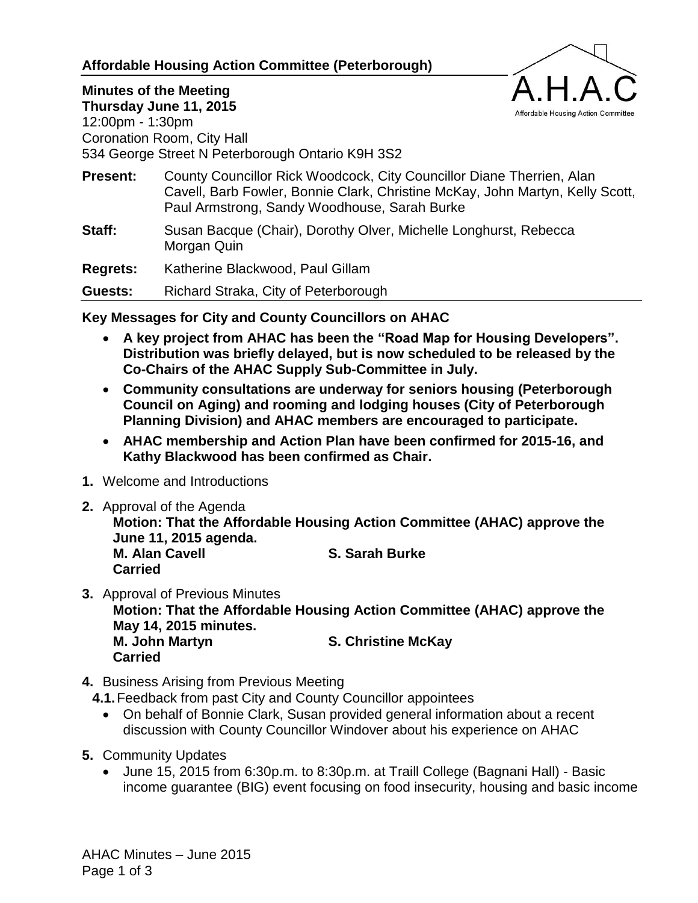### **Affordable Housing Action Committee (Peterborough)**



# **Minutes of the Meeting**

**Thursday June 11, 2015** 12:00pm - 1:30pm Coronation Room, City Hall 534 George Street N Peterborough Ontario K9H 3S2

- **Present:** County Councillor Rick Woodcock, City Councillor Diane Therrien, Alan Cavell, Barb Fowler, Bonnie Clark, Christine McKay, John Martyn, Kelly Scott, Paul Armstrong, Sandy Woodhouse, Sarah Burke
- **Staff:** Susan Bacque (Chair), Dorothy Olver, Michelle Longhurst, Rebecca Morgan Quin

**Regrets:** Katherine Blackwood, Paul Gillam

**Guests:** Richard Straka, City of Peterborough

### **Key Messages for City and County Councillors on AHAC**

- **A key project from AHAC has been the "Road Map for Housing Developers". Distribution was briefly delayed, but is now scheduled to be released by the Co-Chairs of the AHAC Supply Sub-Committee in July.**
- **Community consultations are underway for seniors housing (Peterborough Council on Aging) and rooming and lodging houses (City of Peterborough Planning Division) and AHAC members are encouraged to participate.**
- **AHAC membership and Action Plan have been confirmed for 2015-16, and Kathy Blackwood has been confirmed as Chair.**
- **1.** Welcome and Introductions
- **2.** Approval of the Agenda

**Motion: That the Affordable Housing Action Committee (AHAC) approve the June 11, 2015 agenda.**

**M. Alan Cavell S. Sarah Burke Carried**

- **3.** Approval of Previous Minutes **Motion: That the Affordable Housing Action Committee (AHAC) approve the May 14, 2015 minutes. M. John Martyn S. Christine McKay Carried**
- **4.** Business Arising from Previous Meeting
	- **4.1.**Feedback from past City and County Councillor appointees
		- On behalf of Bonnie Clark, Susan provided general information about a recent discussion with County Councillor Windover about his experience on AHAC
- **5.** Community Updates
	- June 15, 2015 from 6:30p.m. to 8:30p.m. at Traill College (Bagnani Hall) Basic income guarantee (BIG) event focusing on food insecurity, housing and basic income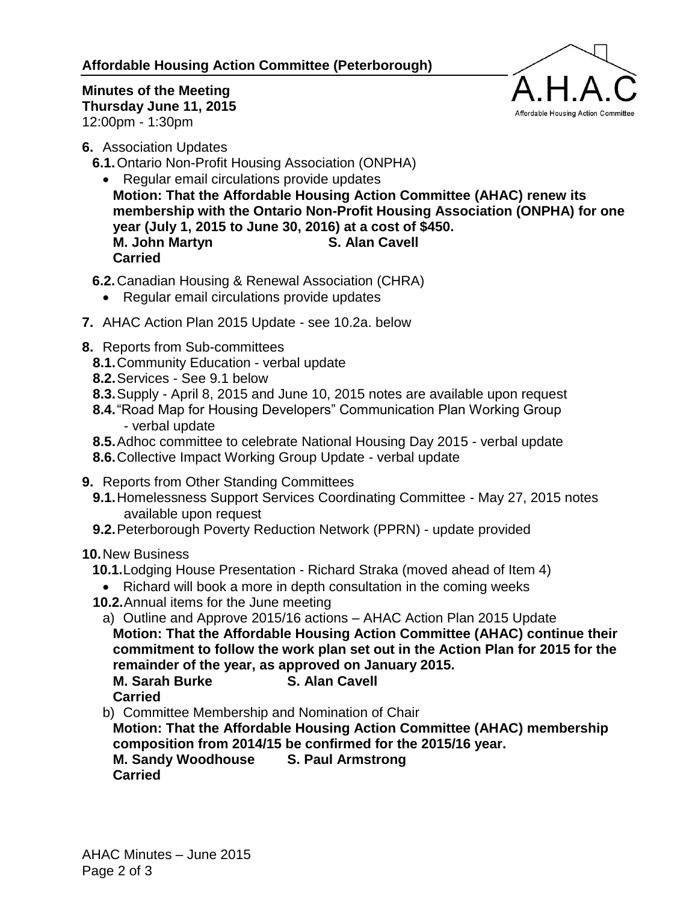### **Affordable Housing Action Committee (Peterborough)**



**Minutes of the Meeting Thursday June 11, 2015** 12:00pm - 1:30pm

**6.** Association Updates

**6.1.**Ontario Non-Profit Housing Association (ONPHA)

- Regular email circulations provide updates **Motion: That the Affordable Housing Action Committee (AHAC) renew its membership with the Ontario Non-Profit Housing Association (ONPHA) for one year (July 1, 2015 to June 30, 2016) at a cost of \$450. M. John Martyn S. Alan Cavell Carried**
- **6.2.**Canadian Housing & Renewal Association (CHRA)
	- Regular email circulations provide updates
- **7.** AHAC Action Plan 2015 Update see 10.2a. below
- **8.** Reports from Sub-committees
	- **8.1.**Community Education verbal update
	- **8.2.**Services See 9.1 below
	- **8.3.**Supply April 8, 2015 and June 10, 2015 notes are available upon request
	- **8.4.**"Road Map for Housing Developers" Communication Plan Working Group - verbal update
	- **8.5.**Adhoc committee to celebrate National Housing Day 2015 verbal update
	- **8.6.**Collective Impact Working Group Update verbal update
- **9.** Reports from Other Standing Committees
	- **9.1.**Homelessness Support Services Coordinating Committee May 27, 2015 notes available upon request
	- **9.2.**Peterborough Poverty Reduction Network (PPRN) update provided

## **10.**New Business

- **10.1.**Lodging House Presentation Richard Straka (moved ahead of Item 4)
- Richard will book a more in depth consultation in the coming weeks
- **10.2.**Annual items for the June meeting

a) Outline and Approve 2015/16 actions – AHAC Action Plan 2015 Update

**Motion: That the Affordable Housing Action Committee (AHAC) continue their commitment to follow the work plan set out in the Action Plan for 2015 for the remainder of the year, as approved on January 2015.**

**M. Sarah Burke S. Alan Cavell Carried**

b) Committee Membership and Nomination of Chair

**Motion: That the Affordable Housing Action Committee (AHAC) membership composition from 2014/15 be confirmed for the 2015/16 year.**

**M. Sandy Woodhouse S. Paul Armstrong Carried**